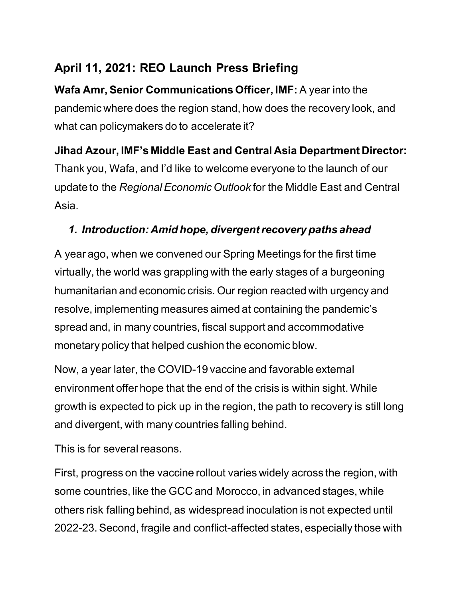# **April 11, 2021: REO Launch Press Briefing**

**Wafa Amr, Senior Communications Officer, IMF: A year into the** pandemic where does the region stand, how does the recovery look, and what can policymakers do to accelerate it?

## **Jihad Azour, IMF's Middle East and Central Asia Department Director:**

Thank you, Wafa, and I'd like to welcome everyone to the launch of our update to the *Regional Economic Outlook* for the Middle East and Central Asia.

## *1. Introduction: Amid hope, divergent recovery paths ahead*

A year ago, when we convened our Spring Meetings for the first time virtually, the world was grappling with the early stages of a burgeoning humanitarian and economic crisis. Our region reacted with urgency and resolve, implementing measures aimed at containing the pandemic's spread and, in many countries, fiscal support and accommodative monetary policy that helped cushion the economic blow.

Now, a year later, the COVID-19 vaccine and favorable external environment offer hope that the end of the crisis is within sight. While growth is expected to pick up in the region, the path to recovery is still long and divergent, with many countries falling behind.

This is for several reasons.

First, progress on the vaccine rollout varies widely across the region, with some countries, like the GCC and Morocco, in advanced stages, while others risk falling behind, as widespread inoculation is not expected until 2022-23. Second, fragile and conflict-affected states, especially those with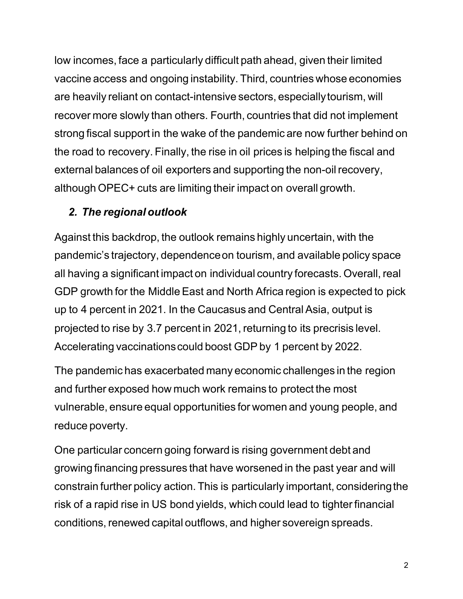low incomes, face a particularly difficult path ahead, given their limited vaccine access and ongoing instability. Third, countries whose economies are heavily reliant on contact-intensive sectors, especially tourism, will recover more slowly than others. Fourth, countries that did not implement strong fiscal support in the wake of the pandemic are now further behind on the road to recovery. Finally, the rise in oil prices is helping the fiscal and external balances of oil exporters and supporting the non-oil recovery, although OPEC+ cuts are limiting their impact on overall growth.

#### *2. The regional outlook*

Against this backdrop, the outlook remains highly uncertain, with the pandemic's trajectory, dependence on tourism, and available policy space all having a significant impact on individual country forecasts. Overall, real GDP growth for the Middle East and North Africa region is expected to pick up to 4 percent in 2021. In the Caucasus and Central Asia, output is projected to rise by 3.7 percent in 2021, returning to its precrisis level. Accelerating vaccinations could boost GDP by 1 percent by 2022.

The pandemic has exacerbated many economic challenges in the region and further exposed how much work remains to protect the most vulnerable, ensure equal opportunities for women and young people, and reduce poverty.

One particular concern going forward is rising government debt and growing financing pressures that have worsened in the past year and will constrain further policy action. This is particularly important, considering the risk of a rapid rise in US bond yields, which could lead to tighter financial conditions, renewed capital outflows, and higher sovereign spreads.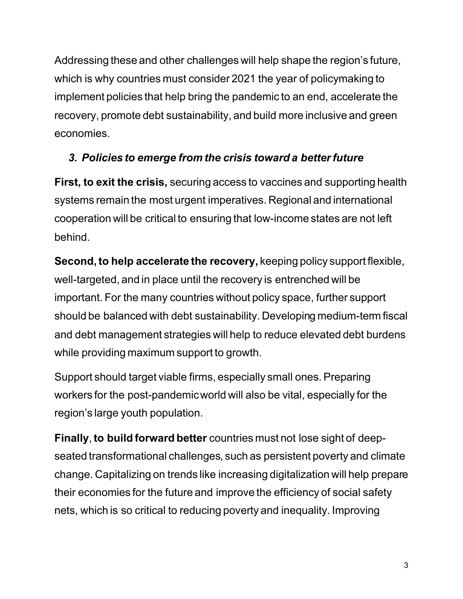Addressing these and other challenges will help shape the region's future, which is why countries must consider 2021 the year of policymaking to implement policies that help bring the pandemic to an end, accelerate the recovery, promote debt sustainability, and build more inclusive and green economies.

## *3. Policies to emerge from the crisis toward a better future*

**First, to exit the crisis,** securing access to vaccines and supporting health systems remain the most urgent imperatives. Regional and international cooperation will be critical to ensuring that low-income states are not left behind.

**Second, to help accelerate the recovery,** keeping policy support flexible, well-targeted, and in place until the recovery is entrenched will be important. For the many countries without policy space, further support should be balanced with debt sustainability. Developing medium-term fiscal and debt management strategies will help to reduce elevated debt burdens while providing maximum support to growth.

Support should target viable firms, especially small ones. Preparing workers for the post-pandemic world will also be vital, especially for the region's large youth population.

**Finally**, **to build forward better** countries must not lose sight of deepseated transformational challenges, such as persistent poverty and climate change. Capitalizing on trends like increasing digitalization will help prepare their economies for the future and improve the efficiency of social safety nets, which is so critical to reducing poverty and inequality. Improving